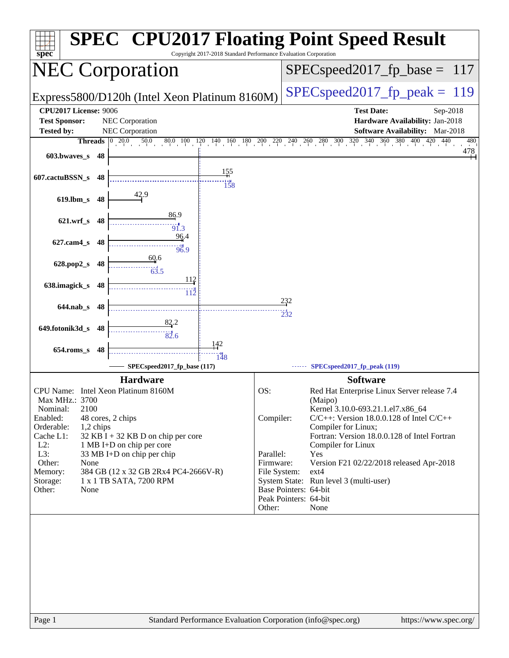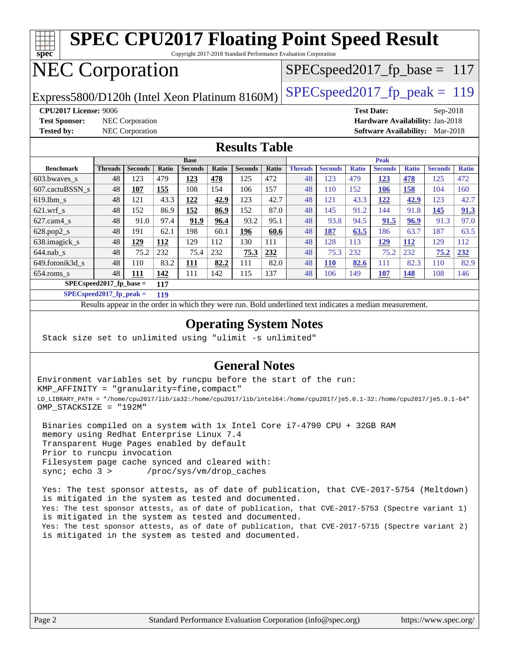

Results appear in the [order in which they were run.](http://www.spec.org/auto/cpu2017/Docs/result-fields.html#RunOrder) Bold underlined text [indicates a median measurement](http://www.spec.org/auto/cpu2017/Docs/result-fields.html#Median).

#### **[Operating System Notes](http://www.spec.org/auto/cpu2017/Docs/result-fields.html#OperatingSystemNotes)**

Stack size set to unlimited using "ulimit -s unlimited"

#### **[General Notes](http://www.spec.org/auto/cpu2017/Docs/result-fields.html#GeneralNotes)**

Environment variables set by runcpu before the start of the run: KMP\_AFFINITY = "granularity=fine,compact" LD\_LIBRARY\_PATH = "/home/cpu2017/lib/ia32:/home/cpu2017/lib/intel64:/home/cpu2017/je5.0.1-32:/home/cpu2017/je5.0.1-64" OMP\_STACKSIZE = "192M"

 Binaries compiled on a system with 1x Intel Core i7-4790 CPU + 32GB RAM memory using Redhat Enterprise Linux 7.4 Transparent Huge Pages enabled by default Prior to runcpu invocation Filesystem page cache synced and cleared with: sync; echo 3 > /proc/sys/vm/drop\_caches

 Yes: The test sponsor attests, as of date of publication, that CVE-2017-5754 (Meltdown) is mitigated in the system as tested and documented. Yes: The test sponsor attests, as of date of publication, that CVE-2017-5753 (Spectre variant 1) is mitigated in the system as tested and documented. Yes: The test sponsor attests, as of date of publication, that CVE-2017-5715 (Spectre variant 2) is mitigated in the system as tested and documented.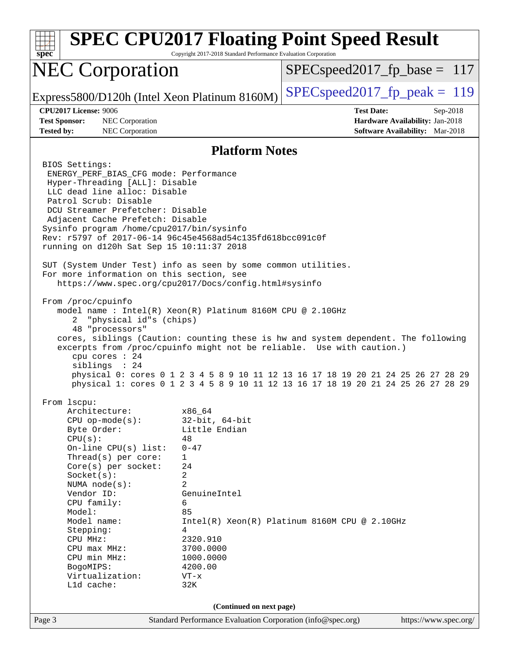| $spec^*$                                                                                                                                                                                                                                                                                                                                                                                                                                                                                                                                                                                                                                                                                                                                                                                                                                                                                                                                                           | Copyright 2017-2018 Standard Performance Evaluation Corporation                         | <b>SPEC CPU2017 Floating Point Speed Result</b>                                                                                                                                                                                                              |
|--------------------------------------------------------------------------------------------------------------------------------------------------------------------------------------------------------------------------------------------------------------------------------------------------------------------------------------------------------------------------------------------------------------------------------------------------------------------------------------------------------------------------------------------------------------------------------------------------------------------------------------------------------------------------------------------------------------------------------------------------------------------------------------------------------------------------------------------------------------------------------------------------------------------------------------------------------------------|-----------------------------------------------------------------------------------------|--------------------------------------------------------------------------------------------------------------------------------------------------------------------------------------------------------------------------------------------------------------|
| <b>NEC Corporation</b>                                                                                                                                                                                                                                                                                                                                                                                                                                                                                                                                                                                                                                                                                                                                                                                                                                                                                                                                             |                                                                                         | $SPEC speed2017_f p\_base = 117$                                                                                                                                                                                                                             |
| Express5800/D120h (Intel Xeon Platinum 8160M)                                                                                                                                                                                                                                                                                                                                                                                                                                                                                                                                                                                                                                                                                                                                                                                                                                                                                                                      |                                                                                         | $SPEC speed2017_fp\_peak = 119$                                                                                                                                                                                                                              |
| <b>CPU2017 License: 9006</b><br><b>Test Sponsor:</b><br><b>NEC</b> Corporation<br>NEC Corporation<br><b>Tested by:</b>                                                                                                                                                                                                                                                                                                                                                                                                                                                                                                                                                                                                                                                                                                                                                                                                                                             |                                                                                         | <b>Test Date:</b><br>Sep-2018<br>Hardware Availability: Jan-2018<br><b>Software Availability:</b> Mar-2018                                                                                                                                                   |
|                                                                                                                                                                                                                                                                                                                                                                                                                                                                                                                                                                                                                                                                                                                                                                                                                                                                                                                                                                    | <b>Platform Notes</b>                                                                   |                                                                                                                                                                                                                                                              |
| BIOS Settings:<br>ENERGY_PERF_BIAS_CFG mode: Performance<br>Hyper-Threading [ALL]: Disable<br>LLC dead line alloc: Disable<br>Patrol Scrub: Disable<br>DCU Streamer Prefetcher: Disable<br>Adjacent Cache Prefetch: Disable<br>Sysinfo program /home/cpu2017/bin/sysinfo<br>Rev: r5797 of 2017-06-14 96c45e4568ad54c135fd618bcc091c0f<br>running on d120h Sat Sep 15 10:11:37 2018<br>SUT (System Under Test) info as seen by some common utilities.<br>For more information on this section, see<br>https://www.spec.org/cpu2017/Docs/config.html#sysinfo<br>From /proc/cpuinfo<br>model name: $Intel(R)$ Xeon(R) Platinum 8160M CPU @ 2.10GHz<br>"physical id"s (chips)<br>2<br>48 "processors"<br>excerpts from /proc/cpuinfo might not be reliable. Use with caution.)<br>cpu cores : 24<br>siblings : 24<br>From 1scpu:<br>Architecture:<br>$CPU$ op-mode( $s$ ):<br>Byte Order:<br>CPU(s):<br>48<br>On-line $CPU(s)$ list:<br>Thread(s) per core:<br>1<br>24 | x86_64<br>$32$ -bit, $64$ -bit<br>Little Endian<br>$0 - 47$                             | cores, siblings (Caution: counting these is hw and system dependent. The following<br>physical 0: cores 0 1 2 3 4 5 8 9 10 11 12 13 16 17 18 19 20 21 24 25 26 27 28 29<br>physical 1: cores 0 1 2 3 4 5 8 9 10 11 12 13 16 17 18 19 20 21 24 25 26 27 28 29 |
| Core(s) per socket:<br>Socket(s):<br>2<br>$\overline{2}$<br>NUMA node(s):<br>Vendor ID:                                                                                                                                                                                                                                                                                                                                                                                                                                                                                                                                                                                                                                                                                                                                                                                                                                                                            | GenuineIntel                                                                            |                                                                                                                                                                                                                                                              |
| CPU family:<br>6<br>Model:<br>85<br>Model name:<br>Stepping:<br>4<br>CPU MHz:<br>CPU max MHz:<br>CPU min MHz:<br>BogoMIPS:<br>Virtualization:<br>L1d cache:<br>32K                                                                                                                                                                                                                                                                                                                                                                                                                                                                                                                                                                                                                                                                                                                                                                                                 | 2320.910<br>3700.0000<br>1000.0000<br>4200.00<br>$VT - x$                               | $Intel(R)$ Xeon(R) Platinum 8160M CPU @ 2.10GHz                                                                                                                                                                                                              |
| Page 3                                                                                                                                                                                                                                                                                                                                                                                                                                                                                                                                                                                                                                                                                                                                                                                                                                                                                                                                                             | (Continued on next page)<br>Standard Performance Evaluation Corporation (info@spec.org) | https://www.spec.org/                                                                                                                                                                                                                                        |
|                                                                                                                                                                                                                                                                                                                                                                                                                                                                                                                                                                                                                                                                                                                                                                                                                                                                                                                                                                    |                                                                                         |                                                                                                                                                                                                                                                              |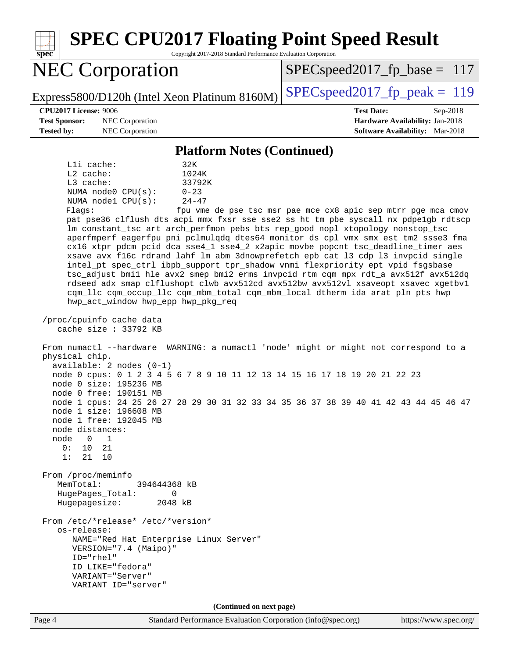| <b>SPEC CPU2017 Floating Point Speed Result</b><br>Copyright 2017-2018 Standard Performance Evaluation Corporation<br>$spec^*$                                                                                                                                                                                                                                                                                                                                                                                                                                                                                                                                                                                                                                                                                                                                                                                                                                                                                                                                                                                                                                                                                                                                                                                                                                                                                                                                                                                                                                                                                                                                                                                                                                                                                                                                      |                                                                                                            |
|---------------------------------------------------------------------------------------------------------------------------------------------------------------------------------------------------------------------------------------------------------------------------------------------------------------------------------------------------------------------------------------------------------------------------------------------------------------------------------------------------------------------------------------------------------------------------------------------------------------------------------------------------------------------------------------------------------------------------------------------------------------------------------------------------------------------------------------------------------------------------------------------------------------------------------------------------------------------------------------------------------------------------------------------------------------------------------------------------------------------------------------------------------------------------------------------------------------------------------------------------------------------------------------------------------------------------------------------------------------------------------------------------------------------------------------------------------------------------------------------------------------------------------------------------------------------------------------------------------------------------------------------------------------------------------------------------------------------------------------------------------------------------------------------------------------------------------------------------------------------|------------------------------------------------------------------------------------------------------------|
| <b>NEC Corporation</b>                                                                                                                                                                                                                                                                                                                                                                                                                                                                                                                                                                                                                                                                                                                                                                                                                                                                                                                                                                                                                                                                                                                                                                                                                                                                                                                                                                                                                                                                                                                                                                                                                                                                                                                                                                                                                                              | $SPEC speed2017_fp\_base = 117$                                                                            |
| Express5800/D120h (Intel Xeon Platinum 8160M)                                                                                                                                                                                                                                                                                                                                                                                                                                                                                                                                                                                                                                                                                                                                                                                                                                                                                                                                                                                                                                                                                                                                                                                                                                                                                                                                                                                                                                                                                                                                                                                                                                                                                                                                                                                                                       | $SPEC speed2017_fp\_peak = 119$                                                                            |
| <b>CPU2017 License: 9006</b><br><b>Test Sponsor:</b><br>NEC Corporation<br>NEC Corporation<br><b>Tested by:</b>                                                                                                                                                                                                                                                                                                                                                                                                                                                                                                                                                                                                                                                                                                                                                                                                                                                                                                                                                                                                                                                                                                                                                                                                                                                                                                                                                                                                                                                                                                                                                                                                                                                                                                                                                     | <b>Test Date:</b><br>Sep-2018<br>Hardware Availability: Jan-2018<br><b>Software Availability:</b> Mar-2018 |
| <b>Platform Notes (Continued)</b>                                                                                                                                                                                                                                                                                                                                                                                                                                                                                                                                                                                                                                                                                                                                                                                                                                                                                                                                                                                                                                                                                                                                                                                                                                                                                                                                                                                                                                                                                                                                                                                                                                                                                                                                                                                                                                   |                                                                                                            |
| Lli cache:<br>32K<br>L2 cache:<br>1024K<br>L3 cache:<br>33792K<br>NUMA node0 CPU(s):<br>$0 - 23$<br>NUMA nodel CPU(s):<br>$24 - 47$<br>Flaqs:<br>pat pse36 clflush dts acpi mmx fxsr sse sse2 ss ht tm pbe syscall nx pdpe1gb rdtscp<br>lm constant_tsc art arch_perfmon pebs bts rep_good nopl xtopology nonstop_tsc<br>aperfmperf eagerfpu pni pclmulqdq dtes64 monitor ds_cpl vmx smx est tm2 ssse3 fma<br>cx16 xtpr pdcm pcid dca sse4_1 sse4_2 x2apic movbe popcnt tsc_deadline_timer aes<br>xsave avx f16c rdrand lahf_lm abm 3dnowprefetch epb cat_13 cdp_13 invpcid_single<br>intel pt spec ctrl ibpb support tpr shadow vnmi flexpriority ept vpid fsgsbase<br>tsc_adjust bmil hle avx2 smep bmi2 erms invpcid rtm cqm mpx rdt_a avx512f avx512dq<br>rdseed adx smap clflushopt clwb avx512cd avx512bw avx512vl xsaveopt xsavec xgetbvl<br>cqm_llc cqm_occup_llc cqm_mbm_total cqm_mbm_local dtherm ida arat pln pts hwp<br>hwp_act_window hwp_epp hwp_pkg_req<br>/proc/cpuinfo cache data<br>cache size $: 33792$ KB<br>From numactl --hardware WARNING: a numactl 'node' might or might not correspond to a<br>physical chip.<br>available: $2$ nodes $(0-1)$<br>node 0 cpus: 0 1 2 3 4 5 6 7 8 9 10 11 12 13 14 15 16 17 18 19 20 21 22 23<br>node 0 size: 195236 MB<br>node 0 free: 190151 MB<br>node 1 cpus: 24 25 26 27 28 29 30 31 32 33 34 35 36 37 38 39 40 41 42 43 44 45 46 47<br>node 1 size: 196608 MB<br>node 1 free: 192045 MB<br>node distances:<br>$\overline{0}$<br>node<br>$\mathbf{1}$<br>10<br>21<br>0:<br>21<br>10<br>1:<br>From /proc/meminfo<br>MemTotal:<br>394644368 kB<br>HugePages_Total:<br>0<br>Hugepagesize:<br>2048 kB<br>From /etc/*release* /etc/*version*<br>os-release:<br>NAME="Red Hat Enterprise Linux Server"<br>VERSION="7.4 (Maipo)"<br>ID="rhel"<br>ID_LIKE="fedora"<br>VARIANT="Server"<br>VARIANT_ID="server" | fpu vme de pse tsc msr pae mce cx8 apic sep mtrr pge mca cmov                                              |
| (Continued on next page)                                                                                                                                                                                                                                                                                                                                                                                                                                                                                                                                                                                                                                                                                                                                                                                                                                                                                                                                                                                                                                                                                                                                                                                                                                                                                                                                                                                                                                                                                                                                                                                                                                                                                                                                                                                                                                            |                                                                                                            |
| Page 4<br>Standard Performance Evaluation Corporation (info@spec.org)                                                                                                                                                                                                                                                                                                                                                                                                                                                                                                                                                                                                                                                                                                                                                                                                                                                                                                                                                                                                                                                                                                                                                                                                                                                                                                                                                                                                                                                                                                                                                                                                                                                                                                                                                                                               | https://www.spec.org/                                                                                      |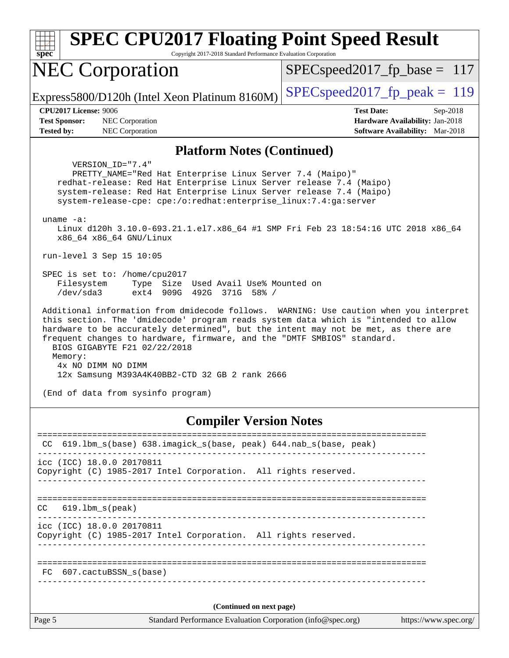| $spec^*$                                  | <b>SPEC CPU2017 Floating Point Speed Result</b><br>Copyright 2017-2018 Standard Performance Evaluation Corporation                                                                                                                                                                                                                                                                                                                                                                                                                                                                                                                       |                                                                           |  |  |
|-------------------------------------------|------------------------------------------------------------------------------------------------------------------------------------------------------------------------------------------------------------------------------------------------------------------------------------------------------------------------------------------------------------------------------------------------------------------------------------------------------------------------------------------------------------------------------------------------------------------------------------------------------------------------------------------|---------------------------------------------------------------------------|--|--|
|                                           | <b>NEC Corporation</b>                                                                                                                                                                                                                                                                                                                                                                                                                                                                                                                                                                                                                   | $SPEC speed2017_fp\_base = 117$                                           |  |  |
|                                           | Express5800/D120h (Intel Xeon Platinum 8160M)                                                                                                                                                                                                                                                                                                                                                                                                                                                                                                                                                                                            | $SPEC speed2017_fp\_peak = 119$                                           |  |  |
|                                           | <b>CPU2017 License: 9006</b>                                                                                                                                                                                                                                                                                                                                                                                                                                                                                                                                                                                                             | <b>Test Date:</b><br>Sep-2018                                             |  |  |
| <b>Test Sponsor:</b><br><b>Tested by:</b> | NEC Corporation<br>NEC Corporation                                                                                                                                                                                                                                                                                                                                                                                                                                                                                                                                                                                                       | Hardware Availability: Jan-2018<br><b>Software Availability:</b> Mar-2018 |  |  |
|                                           | <b>Platform Notes (Continued)</b>                                                                                                                                                                                                                                                                                                                                                                                                                                                                                                                                                                                                        |                                                                           |  |  |
|                                           | VERSION ID="7.4"<br>PRETTY_NAME="Red Hat Enterprise Linux Server 7.4 (Maipo)"<br>redhat-release: Red Hat Enterprise Linux Server release 7.4 (Maipo)<br>system-release: Red Hat Enterprise Linux Server release 7.4 (Maipo)<br>system-release-cpe: cpe:/o:redhat:enterprise_linux:7.4:ga:server<br>uname $-a$ :<br>Linux d120h 3.10.0-693.21.1.el7.x86_64 #1 SMP Fri Feb 23 18:54:16 UTC 2018 x86_64<br>x86_64 x86_64 GNU/Linux<br>run-level 3 Sep 15 10:05                                                                                                                                                                              |                                                                           |  |  |
|                                           | SPEC is set to: /home/cpu2017<br>Type Size Used Avail Use% Mounted on<br>Filesystem<br>/dev/sda3<br>ext4 909G 492G 371G 58% /<br>Additional information from dmidecode follows. WARNING: Use caution when you interpret<br>this section. The 'dmidecode' program reads system data which is "intended to allow<br>hardware to be accurately determined", but the intent may not be met, as there are<br>frequent changes to hardware, firmware, and the "DMTF SMBIOS" standard.<br>BIOS GIGABYTE F21 02/22/2018<br>Memory:<br>4x NO DIMM NO DIMM<br>12x Samsung M393A4K40BB2-CTD 32 GB 2 rank 2666<br>(End of data from sysinfo program) |                                                                           |  |  |
|                                           | <b>Compiler Version Notes</b>                                                                                                                                                                                                                                                                                                                                                                                                                                                                                                                                                                                                            |                                                                           |  |  |
| CC.                                       | ---------<br>619.1bm_s(base) 638.imagick_s(base, peak) 644.nab_s(base, peak)                                                                                                                                                                                                                                                                                                                                                                                                                                                                                                                                                             | ======================                                                    |  |  |
|                                           | icc (ICC) 18.0.0 20170811<br>Copyright (C) 1985-2017 Intel Corporation. All rights reserved.                                                                                                                                                                                                                                                                                                                                                                                                                                                                                                                                             |                                                                           |  |  |
| CC                                        | $619.1$ bm $s$ (peak)                                                                                                                                                                                                                                                                                                                                                                                                                                                                                                                                                                                                                    |                                                                           |  |  |
|                                           | icc (ICC) 18.0.0 20170811<br>Copyright (C) 1985-2017 Intel Corporation. All rights reserved.                                                                                                                                                                                                                                                                                                                                                                                                                                                                                                                                             |                                                                           |  |  |
| FC.                                       | $607.cactuBSSN_s(base)$                                                                                                                                                                                                                                                                                                                                                                                                                                                                                                                                                                                                                  |                                                                           |  |  |

**(Continued on next page)**

Page 5 Standard Performance Evaluation Corporation [\(info@spec.org\)](mailto:info@spec.org) <https://www.spec.org/>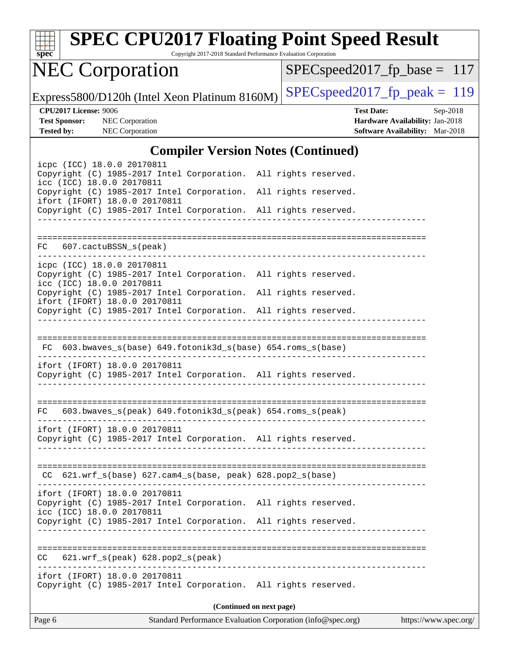| S | Dе | Ľ<br>١ |  |
|---|----|--------|--|

# **[SPEC CPU2017 Floating Point Speed Result](http://www.spec.org/auto/cpu2017/Docs/result-fields.html#SPECCPU2017FloatingPointSpeedResult)**

Copyright 2017-2018 Standard Performance Evaluation Corporation

# NEC Corporation

[SPECspeed2017\\_fp\\_base =](http://www.spec.org/auto/cpu2017/Docs/result-fields.html#SPECspeed2017fpbase) 117

Express5800/D120h (Intel Xeon Platinum 8160M)  $\left|$  [SPECspeed2017\\_fp\\_peak =](http://www.spec.org/auto/cpu2017/Docs/result-fields.html#SPECspeed2017fppeak) 119

**[CPU2017 License:](http://www.spec.org/auto/cpu2017/Docs/result-fields.html#CPU2017License)** 9006 **[Test Date:](http://www.spec.org/auto/cpu2017/Docs/result-fields.html#TestDate)** Sep-2018 **[Test Sponsor:](http://www.spec.org/auto/cpu2017/Docs/result-fields.html#TestSponsor)** NEC Corporation **[Hardware Availability:](http://www.spec.org/auto/cpu2017/Docs/result-fields.html#HardwareAvailability)** Jan-2018 **[Tested by:](http://www.spec.org/auto/cpu2017/Docs/result-fields.html#Testedby)** NEC Corporation **[Software Availability:](http://www.spec.org/auto/cpu2017/Docs/result-fields.html#SoftwareAvailability)** Mar-2018

#### **[Compiler Version Notes \(Continued\)](http://www.spec.org/auto/cpu2017/Docs/result-fields.html#CompilerVersionNotes)**

| icpc (ICC) 18.0.0 20170811<br>Copyright (C) 1985-2017 Intel Corporation. All rights reserved.<br>icc (ICC) 18.0.0 20170811    |   |                          |  |
|-------------------------------------------------------------------------------------------------------------------------------|---|--------------------------|--|
| Copyright (C) 1985-2017 Intel Corporation. All rights reserved.<br>ifort (IFORT) 18.0.0 20170811                              |   |                          |  |
| Copyright (C) 1985-2017 Intel Corporation. All rights reserved.                                                               |   |                          |  |
|                                                                                                                               |   |                          |  |
| 607.cactuBSSN_s(peak)<br>FC                                                                                                   |   |                          |  |
| icpc (ICC) 18.0.0 20170811<br>Copyright (C) 1985-2017 Intel Corporation. All rights reserved.<br>icc (ICC) 18.0.0 20170811    |   |                          |  |
| Copyright (C) 1985-2017 Intel Corporation. All rights reserved.<br>ifort (IFORT) 18.0.0 20170811                              |   |                          |  |
| Copyright (C) 1985-2017 Intel Corporation. All rights reserved.                                                               | . |                          |  |
|                                                                                                                               |   |                          |  |
| FC 603.bwaves_s(base) 649.fotonik3d_s(base) 654.roms_s(base)                                                                  |   |                          |  |
| ifort (IFORT) 18.0.0 20170811                                                                                                 |   |                          |  |
| Copyright (C) 1985-2017 Intel Corporation. All rights reserved.                                                               | . |                          |  |
|                                                                                                                               |   |                          |  |
| FC 603.bwaves_s(peak) 649.fotonik3d_s(peak) 654.roms_s(peak)                                                                  |   |                          |  |
| ifort (IFORT) 18.0.0 20170811<br>Copyright (C) 1985-2017 Intel Corporation. All rights reserved.                              |   |                          |  |
|                                                                                                                               |   |                          |  |
| $CC$ 621.wrf_s(base) 627.cam4_s(base, peak) 628.pop2_s(base)                                                                  |   |                          |  |
| ifort (IFORT) 18.0.0 20170811<br>Copyright (C) 1985-2017 Intel Corporation. All rights reserved.<br>icc (ICC) 18.0.0 20170811 |   |                          |  |
| Copyright (C) 1985-2017 Intel Corporation. All rights reserved.                                                               |   |                          |  |
|                                                                                                                               |   |                          |  |
| 621.wrf_s(peak) 628.pop2_s(peak)<br>CC.                                                                                       |   |                          |  |
| ifort (IFORT) 18.0.0 20170811<br>Copyright (C) 1985-2017 Intel Corporation. All rights reserved.                              |   |                          |  |
|                                                                                                                               |   | (Continued on next page) |  |
|                                                                                                                               |   |                          |  |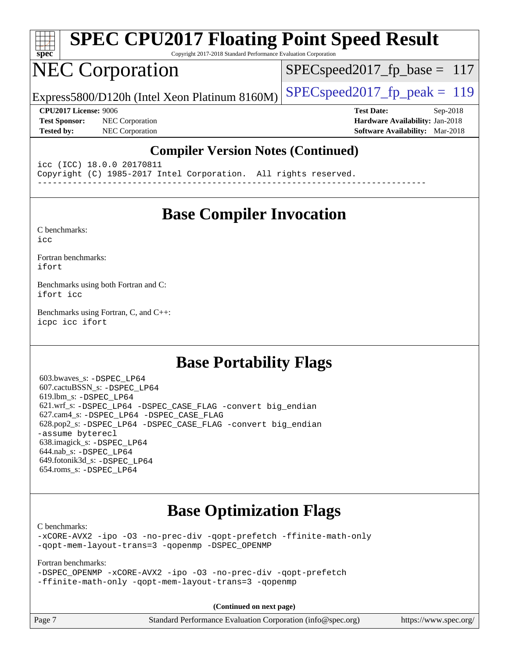

# **[SPEC CPU2017 Floating Point Speed Result](http://www.spec.org/auto/cpu2017/Docs/result-fields.html#SPECCPU2017FloatingPointSpeedResult)**

Copyright 2017-2018 Standard Performance Evaluation Corporation

## NEC Corporation

[SPECspeed2017\\_fp\\_base =](http://www.spec.org/auto/cpu2017/Docs/result-fields.html#SPECspeed2017fpbase) 117

Express5800/D120h (Intel Xeon Platinum 8160M) [SPECspeed2017\\_fp\\_peak =](http://www.spec.org/auto/cpu2017/Docs/result-fields.html#SPECspeed2017fppeak) 119

**[Test Sponsor:](http://www.spec.org/auto/cpu2017/Docs/result-fields.html#TestSponsor)** NEC Corporation **[Hardware Availability:](http://www.spec.org/auto/cpu2017/Docs/result-fields.html#HardwareAvailability)** Jan-2018 **[Tested by:](http://www.spec.org/auto/cpu2017/Docs/result-fields.html#Testedby)** NEC Corporation **[Software Availability:](http://www.spec.org/auto/cpu2017/Docs/result-fields.html#SoftwareAvailability)** Mar-2018

**[CPU2017 License:](http://www.spec.org/auto/cpu2017/Docs/result-fields.html#CPU2017License)** 9006 **[Test Date:](http://www.spec.org/auto/cpu2017/Docs/result-fields.html#TestDate)** Sep-2018

#### **[Compiler Version Notes \(Continued\)](http://www.spec.org/auto/cpu2017/Docs/result-fields.html#CompilerVersionNotes)**

icc (ICC) 18.0.0 20170811 Copyright (C) 1985-2017 Intel Corporation. All rights reserved. ------------------------------------------------------------------------------

#### **[Base Compiler Invocation](http://www.spec.org/auto/cpu2017/Docs/result-fields.html#BaseCompilerInvocation)**

[C benchmarks](http://www.spec.org/auto/cpu2017/Docs/result-fields.html#Cbenchmarks): [icc](http://www.spec.org/cpu2017/results/res2018q4/cpu2017-20180917-08871.flags.html#user_CCbase_intel_icc_18.0_66fc1ee009f7361af1fbd72ca7dcefbb700085f36577c54f309893dd4ec40d12360134090235512931783d35fd58c0460139e722d5067c5574d8eaf2b3e37e92)

[Fortran benchmarks](http://www.spec.org/auto/cpu2017/Docs/result-fields.html#Fortranbenchmarks): [ifort](http://www.spec.org/cpu2017/results/res2018q4/cpu2017-20180917-08871.flags.html#user_FCbase_intel_ifort_18.0_8111460550e3ca792625aed983ce982f94888b8b503583aa7ba2b8303487b4d8a21a13e7191a45c5fd58ff318f48f9492884d4413fa793fd88dd292cad7027ca)

[Benchmarks using both Fortran and C](http://www.spec.org/auto/cpu2017/Docs/result-fields.html#BenchmarksusingbothFortranandC): [ifort](http://www.spec.org/cpu2017/results/res2018q4/cpu2017-20180917-08871.flags.html#user_CC_FCbase_intel_ifort_18.0_8111460550e3ca792625aed983ce982f94888b8b503583aa7ba2b8303487b4d8a21a13e7191a45c5fd58ff318f48f9492884d4413fa793fd88dd292cad7027ca) [icc](http://www.spec.org/cpu2017/results/res2018q4/cpu2017-20180917-08871.flags.html#user_CC_FCbase_intel_icc_18.0_66fc1ee009f7361af1fbd72ca7dcefbb700085f36577c54f309893dd4ec40d12360134090235512931783d35fd58c0460139e722d5067c5574d8eaf2b3e37e92)

[Benchmarks using Fortran, C, and C++:](http://www.spec.org/auto/cpu2017/Docs/result-fields.html#BenchmarksusingFortranCandCXX) [icpc](http://www.spec.org/cpu2017/results/res2018q4/cpu2017-20180917-08871.flags.html#user_CC_CXX_FCbase_intel_icpc_18.0_c510b6838c7f56d33e37e94d029a35b4a7bccf4766a728ee175e80a419847e808290a9b78be685c44ab727ea267ec2f070ec5dc83b407c0218cded6866a35d07) [icc](http://www.spec.org/cpu2017/results/res2018q4/cpu2017-20180917-08871.flags.html#user_CC_CXX_FCbase_intel_icc_18.0_66fc1ee009f7361af1fbd72ca7dcefbb700085f36577c54f309893dd4ec40d12360134090235512931783d35fd58c0460139e722d5067c5574d8eaf2b3e37e92) [ifort](http://www.spec.org/cpu2017/results/res2018q4/cpu2017-20180917-08871.flags.html#user_CC_CXX_FCbase_intel_ifort_18.0_8111460550e3ca792625aed983ce982f94888b8b503583aa7ba2b8303487b4d8a21a13e7191a45c5fd58ff318f48f9492884d4413fa793fd88dd292cad7027ca)

#### **[Base Portability Flags](http://www.spec.org/auto/cpu2017/Docs/result-fields.html#BasePortabilityFlags)**

 603.bwaves\_s: [-DSPEC\\_LP64](http://www.spec.org/cpu2017/results/res2018q4/cpu2017-20180917-08871.flags.html#suite_basePORTABILITY603_bwaves_s_DSPEC_LP64) 607.cactuBSSN\_s: [-DSPEC\\_LP64](http://www.spec.org/cpu2017/results/res2018q4/cpu2017-20180917-08871.flags.html#suite_basePORTABILITY607_cactuBSSN_s_DSPEC_LP64) 619.lbm\_s: [-DSPEC\\_LP64](http://www.spec.org/cpu2017/results/res2018q4/cpu2017-20180917-08871.flags.html#suite_basePORTABILITY619_lbm_s_DSPEC_LP64) 621.wrf\_s: [-DSPEC\\_LP64](http://www.spec.org/cpu2017/results/res2018q4/cpu2017-20180917-08871.flags.html#suite_basePORTABILITY621_wrf_s_DSPEC_LP64) [-DSPEC\\_CASE\\_FLAG](http://www.spec.org/cpu2017/results/res2018q4/cpu2017-20180917-08871.flags.html#b621.wrf_s_baseCPORTABILITY_DSPEC_CASE_FLAG) [-convert big\\_endian](http://www.spec.org/cpu2017/results/res2018q4/cpu2017-20180917-08871.flags.html#user_baseFPORTABILITY621_wrf_s_convert_big_endian_c3194028bc08c63ac5d04de18c48ce6d347e4e562e8892b8bdbdc0214820426deb8554edfa529a3fb25a586e65a3d812c835984020483e7e73212c4d31a38223) 627.cam4\_s: [-DSPEC\\_LP64](http://www.spec.org/cpu2017/results/res2018q4/cpu2017-20180917-08871.flags.html#suite_basePORTABILITY627_cam4_s_DSPEC_LP64) [-DSPEC\\_CASE\\_FLAG](http://www.spec.org/cpu2017/results/res2018q4/cpu2017-20180917-08871.flags.html#b627.cam4_s_baseCPORTABILITY_DSPEC_CASE_FLAG) 628.pop2\_s: [-DSPEC\\_LP64](http://www.spec.org/cpu2017/results/res2018q4/cpu2017-20180917-08871.flags.html#suite_basePORTABILITY628_pop2_s_DSPEC_LP64) [-DSPEC\\_CASE\\_FLAG](http://www.spec.org/cpu2017/results/res2018q4/cpu2017-20180917-08871.flags.html#b628.pop2_s_baseCPORTABILITY_DSPEC_CASE_FLAG) [-convert big\\_endian](http://www.spec.org/cpu2017/results/res2018q4/cpu2017-20180917-08871.flags.html#user_baseFPORTABILITY628_pop2_s_convert_big_endian_c3194028bc08c63ac5d04de18c48ce6d347e4e562e8892b8bdbdc0214820426deb8554edfa529a3fb25a586e65a3d812c835984020483e7e73212c4d31a38223) [-assume byterecl](http://www.spec.org/cpu2017/results/res2018q4/cpu2017-20180917-08871.flags.html#user_baseFPORTABILITY628_pop2_s_assume_byterecl_7e47d18b9513cf18525430bbf0f2177aa9bf368bc7a059c09b2c06a34b53bd3447c950d3f8d6c70e3faf3a05c8557d66a5798b567902e8849adc142926523472) 638.imagick\_s: [-DSPEC\\_LP64](http://www.spec.org/cpu2017/results/res2018q4/cpu2017-20180917-08871.flags.html#suite_basePORTABILITY638_imagick_s_DSPEC_LP64) 644.nab\_s: [-DSPEC\\_LP64](http://www.spec.org/cpu2017/results/res2018q4/cpu2017-20180917-08871.flags.html#suite_basePORTABILITY644_nab_s_DSPEC_LP64) 649.fotonik3d\_s: [-DSPEC\\_LP64](http://www.spec.org/cpu2017/results/res2018q4/cpu2017-20180917-08871.flags.html#suite_basePORTABILITY649_fotonik3d_s_DSPEC_LP64) 654.roms\_s: [-DSPEC\\_LP64](http://www.spec.org/cpu2017/results/res2018q4/cpu2017-20180917-08871.flags.html#suite_basePORTABILITY654_roms_s_DSPEC_LP64)

#### **[Base Optimization Flags](http://www.spec.org/auto/cpu2017/Docs/result-fields.html#BaseOptimizationFlags)**

[C benchmarks](http://www.spec.org/auto/cpu2017/Docs/result-fields.html#Cbenchmarks):

[-xCORE-AVX2](http://www.spec.org/cpu2017/results/res2018q4/cpu2017-20180917-08871.flags.html#user_CCbase_f-xCORE-AVX2) [-ipo](http://www.spec.org/cpu2017/results/res2018q4/cpu2017-20180917-08871.flags.html#user_CCbase_f-ipo) [-O3](http://www.spec.org/cpu2017/results/res2018q4/cpu2017-20180917-08871.flags.html#user_CCbase_f-O3) [-no-prec-div](http://www.spec.org/cpu2017/results/res2018q4/cpu2017-20180917-08871.flags.html#user_CCbase_f-no-prec-div) [-qopt-prefetch](http://www.spec.org/cpu2017/results/res2018q4/cpu2017-20180917-08871.flags.html#user_CCbase_f-qopt-prefetch) [-ffinite-math-only](http://www.spec.org/cpu2017/results/res2018q4/cpu2017-20180917-08871.flags.html#user_CCbase_f_finite_math_only_cb91587bd2077682c4b38af759c288ed7c732db004271a9512da14a4f8007909a5f1427ecbf1a0fb78ff2a814402c6114ac565ca162485bbcae155b5e4258871) [-qopt-mem-layout-trans=3](http://www.spec.org/cpu2017/results/res2018q4/cpu2017-20180917-08871.flags.html#user_CCbase_f-qopt-mem-layout-trans_de80db37974c74b1f0e20d883f0b675c88c3b01e9d123adea9b28688d64333345fb62bc4a798493513fdb68f60282f9a726aa07f478b2f7113531aecce732043) [-qopenmp](http://www.spec.org/cpu2017/results/res2018q4/cpu2017-20180917-08871.flags.html#user_CCbase_qopenmp_16be0c44f24f464004c6784a7acb94aca937f053568ce72f94b139a11c7c168634a55f6653758ddd83bcf7b8463e8028bb0b48b77bcddc6b78d5d95bb1df2967) [-DSPEC\\_OPENMP](http://www.spec.org/cpu2017/results/res2018q4/cpu2017-20180917-08871.flags.html#suite_CCbase_DSPEC_OPENMP)

[Fortran benchmarks](http://www.spec.org/auto/cpu2017/Docs/result-fields.html#Fortranbenchmarks): [-DSPEC\\_OPENMP](http://www.spec.org/cpu2017/results/res2018q4/cpu2017-20180917-08871.flags.html#suite_FCbase_DSPEC_OPENMP) [-xCORE-AVX2](http://www.spec.org/cpu2017/results/res2018q4/cpu2017-20180917-08871.flags.html#user_FCbase_f-xCORE-AVX2) [-ipo](http://www.spec.org/cpu2017/results/res2018q4/cpu2017-20180917-08871.flags.html#user_FCbase_f-ipo) [-O3](http://www.spec.org/cpu2017/results/res2018q4/cpu2017-20180917-08871.flags.html#user_FCbase_f-O3) [-no-prec-div](http://www.spec.org/cpu2017/results/res2018q4/cpu2017-20180917-08871.flags.html#user_FCbase_f-no-prec-div) [-qopt-prefetch](http://www.spec.org/cpu2017/results/res2018q4/cpu2017-20180917-08871.flags.html#user_FCbase_f-qopt-prefetch) [-ffinite-math-only](http://www.spec.org/cpu2017/results/res2018q4/cpu2017-20180917-08871.flags.html#user_FCbase_f_finite_math_only_cb91587bd2077682c4b38af759c288ed7c732db004271a9512da14a4f8007909a5f1427ecbf1a0fb78ff2a814402c6114ac565ca162485bbcae155b5e4258871) [-qopt-mem-layout-trans=3](http://www.spec.org/cpu2017/results/res2018q4/cpu2017-20180917-08871.flags.html#user_FCbase_f-qopt-mem-layout-trans_de80db37974c74b1f0e20d883f0b675c88c3b01e9d123adea9b28688d64333345fb62bc4a798493513fdb68f60282f9a726aa07f478b2f7113531aecce732043) [-qopenmp](http://www.spec.org/cpu2017/results/res2018q4/cpu2017-20180917-08871.flags.html#user_FCbase_qopenmp_16be0c44f24f464004c6784a7acb94aca937f053568ce72f94b139a11c7c168634a55f6653758ddd83bcf7b8463e8028bb0b48b77bcddc6b78d5d95bb1df2967)

**(Continued on next page)**

| Page 7 | Standard Performance Evaluation Corporation (info@spec.org) | https://www.spec.org/ |
|--------|-------------------------------------------------------------|-----------------------|
|--------|-------------------------------------------------------------|-----------------------|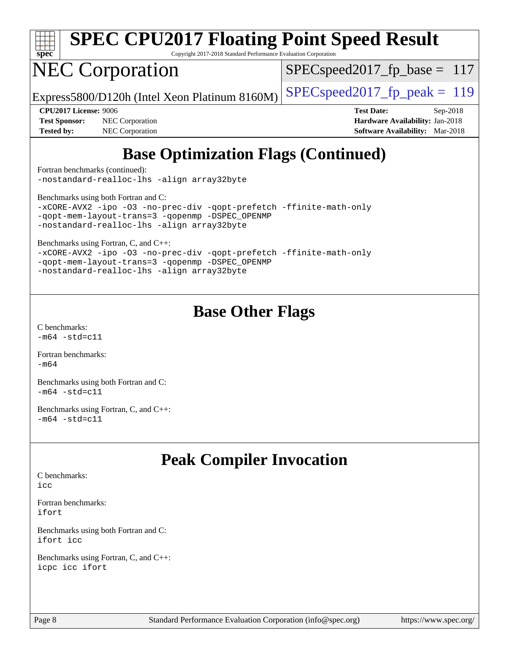

# **[SPEC CPU2017 Floating Point Speed Result](http://www.spec.org/auto/cpu2017/Docs/result-fields.html#SPECCPU2017FloatingPointSpeedResult)**

Copyright 2017-2018 Standard Performance Evaluation Corporation

## NEC Corporation

SPECspeed2017 fp base =  $117$ 

Express5800/D120h (Intel Xeon Platinum 8160M)  $\big|\text{SPEC speed2017\_fp\_peak} = 119$ 

**[CPU2017 License:](http://www.spec.org/auto/cpu2017/Docs/result-fields.html#CPU2017License)** 9006 **[Test Date:](http://www.spec.org/auto/cpu2017/Docs/result-fields.html#TestDate)** Sep-2018

**[Test Sponsor:](http://www.spec.org/auto/cpu2017/Docs/result-fields.html#TestSponsor)** NEC Corporation **[Hardware Availability:](http://www.spec.org/auto/cpu2017/Docs/result-fields.html#HardwareAvailability)** Jan-2018 **[Tested by:](http://www.spec.org/auto/cpu2017/Docs/result-fields.html#Testedby)** NEC Corporation **[Software Availability:](http://www.spec.org/auto/cpu2017/Docs/result-fields.html#SoftwareAvailability)** Mar-2018

## **[Base Optimization Flags \(Continued\)](http://www.spec.org/auto/cpu2017/Docs/result-fields.html#BaseOptimizationFlags)**

[Fortran benchmarks](http://www.spec.org/auto/cpu2017/Docs/result-fields.html#Fortranbenchmarks) (continued): [-nostandard-realloc-lhs](http://www.spec.org/cpu2017/results/res2018q4/cpu2017-20180917-08871.flags.html#user_FCbase_f_2003_std_realloc_82b4557e90729c0f113870c07e44d33d6f5a304b4f63d4c15d2d0f1fab99f5daaed73bdb9275d9ae411527f28b936061aa8b9c8f2d63842963b95c9dd6426b8a) [-align array32byte](http://www.spec.org/cpu2017/results/res2018q4/cpu2017-20180917-08871.flags.html#user_FCbase_align_array32byte_b982fe038af199962ba9a80c053b8342c548c85b40b8e86eb3cc33dee0d7986a4af373ac2d51c3f7cf710a18d62fdce2948f201cd044323541f22fc0fffc51b6)

[Benchmarks using both Fortran and C](http://www.spec.org/auto/cpu2017/Docs/result-fields.html#BenchmarksusingbothFortranandC): [-xCORE-AVX2](http://www.spec.org/cpu2017/results/res2018q4/cpu2017-20180917-08871.flags.html#user_CC_FCbase_f-xCORE-AVX2) [-ipo](http://www.spec.org/cpu2017/results/res2018q4/cpu2017-20180917-08871.flags.html#user_CC_FCbase_f-ipo) [-O3](http://www.spec.org/cpu2017/results/res2018q4/cpu2017-20180917-08871.flags.html#user_CC_FCbase_f-O3) [-no-prec-div](http://www.spec.org/cpu2017/results/res2018q4/cpu2017-20180917-08871.flags.html#user_CC_FCbase_f-no-prec-div) [-qopt-prefetch](http://www.spec.org/cpu2017/results/res2018q4/cpu2017-20180917-08871.flags.html#user_CC_FCbase_f-qopt-prefetch) [-ffinite-math-only](http://www.spec.org/cpu2017/results/res2018q4/cpu2017-20180917-08871.flags.html#user_CC_FCbase_f_finite_math_only_cb91587bd2077682c4b38af759c288ed7c732db004271a9512da14a4f8007909a5f1427ecbf1a0fb78ff2a814402c6114ac565ca162485bbcae155b5e4258871) [-qopt-mem-layout-trans=3](http://www.spec.org/cpu2017/results/res2018q4/cpu2017-20180917-08871.flags.html#user_CC_FCbase_f-qopt-mem-layout-trans_de80db37974c74b1f0e20d883f0b675c88c3b01e9d123adea9b28688d64333345fb62bc4a798493513fdb68f60282f9a726aa07f478b2f7113531aecce732043) [-qopenmp](http://www.spec.org/cpu2017/results/res2018q4/cpu2017-20180917-08871.flags.html#user_CC_FCbase_qopenmp_16be0c44f24f464004c6784a7acb94aca937f053568ce72f94b139a11c7c168634a55f6653758ddd83bcf7b8463e8028bb0b48b77bcddc6b78d5d95bb1df2967) [-DSPEC\\_OPENMP](http://www.spec.org/cpu2017/results/res2018q4/cpu2017-20180917-08871.flags.html#suite_CC_FCbase_DSPEC_OPENMP) [-nostandard-realloc-lhs](http://www.spec.org/cpu2017/results/res2018q4/cpu2017-20180917-08871.flags.html#user_CC_FCbase_f_2003_std_realloc_82b4557e90729c0f113870c07e44d33d6f5a304b4f63d4c15d2d0f1fab99f5daaed73bdb9275d9ae411527f28b936061aa8b9c8f2d63842963b95c9dd6426b8a) [-align array32byte](http://www.spec.org/cpu2017/results/res2018q4/cpu2017-20180917-08871.flags.html#user_CC_FCbase_align_array32byte_b982fe038af199962ba9a80c053b8342c548c85b40b8e86eb3cc33dee0d7986a4af373ac2d51c3f7cf710a18d62fdce2948f201cd044323541f22fc0fffc51b6)

[Benchmarks using Fortran, C, and C++:](http://www.spec.org/auto/cpu2017/Docs/result-fields.html#BenchmarksusingFortranCandCXX)

[-xCORE-AVX2](http://www.spec.org/cpu2017/results/res2018q4/cpu2017-20180917-08871.flags.html#user_CC_CXX_FCbase_f-xCORE-AVX2) [-ipo](http://www.spec.org/cpu2017/results/res2018q4/cpu2017-20180917-08871.flags.html#user_CC_CXX_FCbase_f-ipo) [-O3](http://www.spec.org/cpu2017/results/res2018q4/cpu2017-20180917-08871.flags.html#user_CC_CXX_FCbase_f-O3) [-no-prec-div](http://www.spec.org/cpu2017/results/res2018q4/cpu2017-20180917-08871.flags.html#user_CC_CXX_FCbase_f-no-prec-div) [-qopt-prefetch](http://www.spec.org/cpu2017/results/res2018q4/cpu2017-20180917-08871.flags.html#user_CC_CXX_FCbase_f-qopt-prefetch) [-ffinite-math-only](http://www.spec.org/cpu2017/results/res2018q4/cpu2017-20180917-08871.flags.html#user_CC_CXX_FCbase_f_finite_math_only_cb91587bd2077682c4b38af759c288ed7c732db004271a9512da14a4f8007909a5f1427ecbf1a0fb78ff2a814402c6114ac565ca162485bbcae155b5e4258871) [-qopt-mem-layout-trans=3](http://www.spec.org/cpu2017/results/res2018q4/cpu2017-20180917-08871.flags.html#user_CC_CXX_FCbase_f-qopt-mem-layout-trans_de80db37974c74b1f0e20d883f0b675c88c3b01e9d123adea9b28688d64333345fb62bc4a798493513fdb68f60282f9a726aa07f478b2f7113531aecce732043) [-qopenmp](http://www.spec.org/cpu2017/results/res2018q4/cpu2017-20180917-08871.flags.html#user_CC_CXX_FCbase_qopenmp_16be0c44f24f464004c6784a7acb94aca937f053568ce72f94b139a11c7c168634a55f6653758ddd83bcf7b8463e8028bb0b48b77bcddc6b78d5d95bb1df2967) [-DSPEC\\_OPENMP](http://www.spec.org/cpu2017/results/res2018q4/cpu2017-20180917-08871.flags.html#suite_CC_CXX_FCbase_DSPEC_OPENMP) [-nostandard-realloc-lhs](http://www.spec.org/cpu2017/results/res2018q4/cpu2017-20180917-08871.flags.html#user_CC_CXX_FCbase_f_2003_std_realloc_82b4557e90729c0f113870c07e44d33d6f5a304b4f63d4c15d2d0f1fab99f5daaed73bdb9275d9ae411527f28b936061aa8b9c8f2d63842963b95c9dd6426b8a) [-align array32byte](http://www.spec.org/cpu2017/results/res2018q4/cpu2017-20180917-08871.flags.html#user_CC_CXX_FCbase_align_array32byte_b982fe038af199962ba9a80c053b8342c548c85b40b8e86eb3cc33dee0d7986a4af373ac2d51c3f7cf710a18d62fdce2948f201cd044323541f22fc0fffc51b6)

### **[Base Other Flags](http://www.spec.org/auto/cpu2017/Docs/result-fields.html#BaseOtherFlags)**

[C benchmarks](http://www.spec.org/auto/cpu2017/Docs/result-fields.html#Cbenchmarks):  $-m64 - std= c11$  $-m64 - std= c11$ 

[Fortran benchmarks](http://www.spec.org/auto/cpu2017/Docs/result-fields.html#Fortranbenchmarks): [-m64](http://www.spec.org/cpu2017/results/res2018q4/cpu2017-20180917-08871.flags.html#user_FCbase_intel_intel64_18.0_af43caccfc8ded86e7699f2159af6efc7655f51387b94da716254467f3c01020a5059329e2569e4053f409e7c9202a7efc638f7a6d1ffb3f52dea4a3e31d82ab)

[Benchmarks using both Fortran and C](http://www.spec.org/auto/cpu2017/Docs/result-fields.html#BenchmarksusingbothFortranandC):  $-m64 - std= c11$  $-m64 - std= c11$ 

[Benchmarks using Fortran, C, and C++:](http://www.spec.org/auto/cpu2017/Docs/result-fields.html#BenchmarksusingFortranCandCXX)  $-m64 - std= c11$  $-m64 - std= c11$ 

## **[Peak Compiler Invocation](http://www.spec.org/auto/cpu2017/Docs/result-fields.html#PeakCompilerInvocation)**

[C benchmarks](http://www.spec.org/auto/cpu2017/Docs/result-fields.html#Cbenchmarks): [icc](http://www.spec.org/cpu2017/results/res2018q4/cpu2017-20180917-08871.flags.html#user_CCpeak_intel_icc_18.0_66fc1ee009f7361af1fbd72ca7dcefbb700085f36577c54f309893dd4ec40d12360134090235512931783d35fd58c0460139e722d5067c5574d8eaf2b3e37e92)

[Fortran benchmarks](http://www.spec.org/auto/cpu2017/Docs/result-fields.html#Fortranbenchmarks): [ifort](http://www.spec.org/cpu2017/results/res2018q4/cpu2017-20180917-08871.flags.html#user_FCpeak_intel_ifort_18.0_8111460550e3ca792625aed983ce982f94888b8b503583aa7ba2b8303487b4d8a21a13e7191a45c5fd58ff318f48f9492884d4413fa793fd88dd292cad7027ca)

[Benchmarks using both Fortran and C](http://www.spec.org/auto/cpu2017/Docs/result-fields.html#BenchmarksusingbothFortranandC): [ifort](http://www.spec.org/cpu2017/results/res2018q4/cpu2017-20180917-08871.flags.html#user_CC_FCpeak_intel_ifort_18.0_8111460550e3ca792625aed983ce982f94888b8b503583aa7ba2b8303487b4d8a21a13e7191a45c5fd58ff318f48f9492884d4413fa793fd88dd292cad7027ca) [icc](http://www.spec.org/cpu2017/results/res2018q4/cpu2017-20180917-08871.flags.html#user_CC_FCpeak_intel_icc_18.0_66fc1ee009f7361af1fbd72ca7dcefbb700085f36577c54f309893dd4ec40d12360134090235512931783d35fd58c0460139e722d5067c5574d8eaf2b3e37e92)

[Benchmarks using Fortran, C, and C++:](http://www.spec.org/auto/cpu2017/Docs/result-fields.html#BenchmarksusingFortranCandCXX) [icpc](http://www.spec.org/cpu2017/results/res2018q4/cpu2017-20180917-08871.flags.html#user_CC_CXX_FCpeak_intel_icpc_18.0_c510b6838c7f56d33e37e94d029a35b4a7bccf4766a728ee175e80a419847e808290a9b78be685c44ab727ea267ec2f070ec5dc83b407c0218cded6866a35d07) [icc](http://www.spec.org/cpu2017/results/res2018q4/cpu2017-20180917-08871.flags.html#user_CC_CXX_FCpeak_intel_icc_18.0_66fc1ee009f7361af1fbd72ca7dcefbb700085f36577c54f309893dd4ec40d12360134090235512931783d35fd58c0460139e722d5067c5574d8eaf2b3e37e92) [ifort](http://www.spec.org/cpu2017/results/res2018q4/cpu2017-20180917-08871.flags.html#user_CC_CXX_FCpeak_intel_ifort_18.0_8111460550e3ca792625aed983ce982f94888b8b503583aa7ba2b8303487b4d8a21a13e7191a45c5fd58ff318f48f9492884d4413fa793fd88dd292cad7027ca)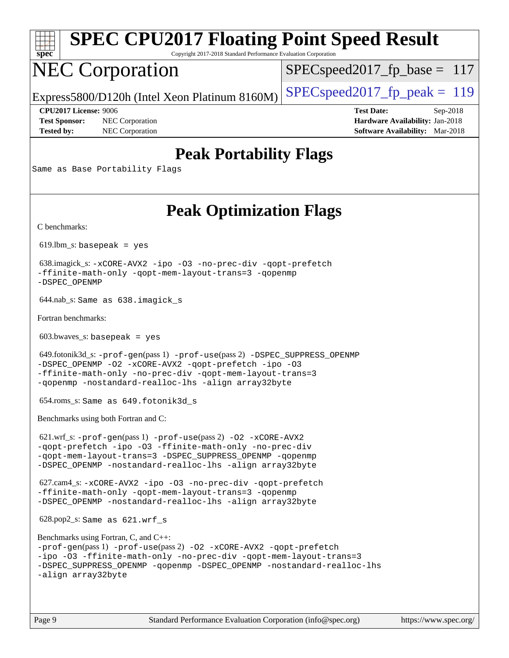